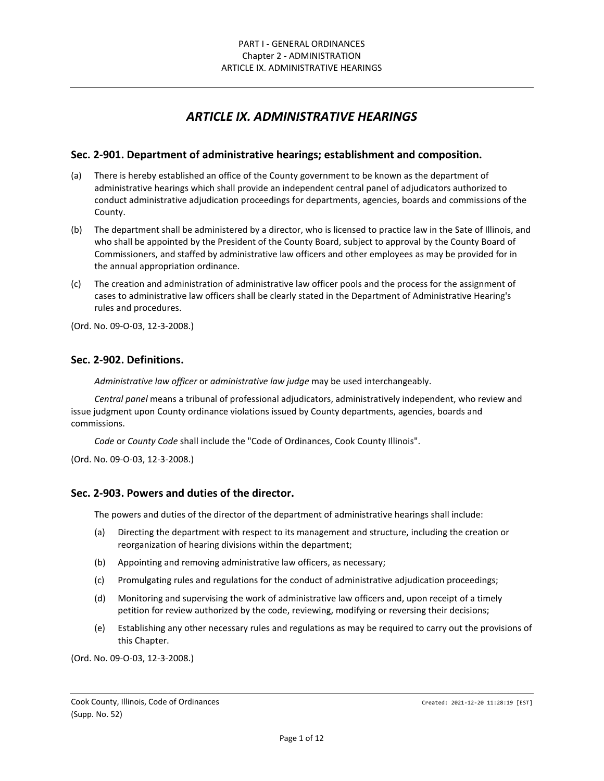# *ARTICLE IX. ADMINISTRATIVE HEARINGS*

### **Sec. 2-901. Department of administrative hearings; establishment and composition.**

- (a) There is hereby established an office of the County government to be known as the department of administrative hearings which shall provide an independent central panel of adjudicators authorized to conduct administrative adjudication proceedings for departments, agencies, boards and commissions of the County.
- (b) The department shall be administered by a director, who is licensed to practice law in the Sate of Illinois, and who shall be appointed by the President of the County Board, subject to approval by the County Board of Commissioners, and staffed by administrative law officers and other employees as may be provided for in the annual appropriation ordinance.
- (c) The creation and administration of administrative law officer pools and the process for the assignment of cases to administrative law officers shall be clearly stated in the Department of Administrative Hearing's rules and procedures.

(Ord. No. 09-O-03, 12-3-2008.)

### **Sec. 2-902. Definitions.**

*Administrative law officer* or *administrative law judge* may be used interchangeably.

*Central panel* means a tribunal of professional adjudicators, administratively independent, who review and issue judgment upon County ordinance violations issued by County departments, agencies, boards and commissions.

*Code* or *County Code* shall include the "Code of Ordinances, Cook County Illinois".

(Ord. No. 09-O-03, 12-3-2008.)

### **Sec. 2-903. Powers and duties of the director.**

The powers and duties of the director of the department of administrative hearings shall include:

- (a) Directing the department with respect to its management and structure, including the creation or reorganization of hearing divisions within the department;
- (b) Appointing and removing administrative law officers, as necessary;
- (c) Promulgating rules and regulations for the conduct of administrative adjudication proceedings;
- (d) Monitoring and supervising the work of administrative law officers and, upon receipt of a timely petition for review authorized by the code, reviewing, modifying or reversing their decisions;
- (e) Establishing any other necessary rules and regulations as may be required to carry out the provisions of this Chapter.

(Ord. No. 09-O-03, 12-3-2008.)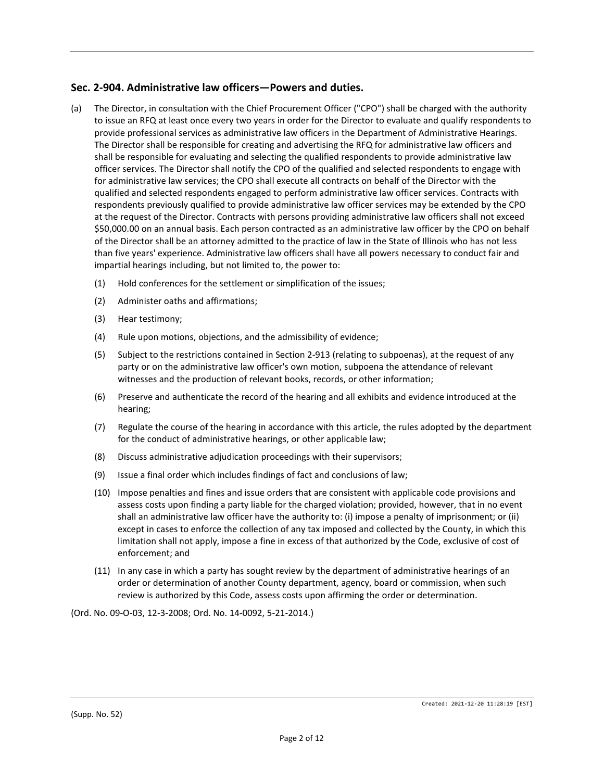# **Sec. 2-904. Administrative law officers—Powers and duties.**

- (a) The Director, in consultation with the Chief Procurement Officer ("CPO") shall be charged with the authority to issue an RFQ at least once every two years in order for the Director to evaluate and qualify respondents to provide professional services as administrative law officers in the Department of Administrative Hearings. The Director shall be responsible for creating and advertising the RFQ for administrative law officers and shall be responsible for evaluating and selecting the qualified respondents to provide administrative law officer services. The Director shall notify the CPO of the qualified and selected respondents to engage with for administrative law services; the CPO shall execute all contracts on behalf of the Director with the qualified and selected respondents engaged to perform administrative law officer services. Contracts with respondents previously qualified to provide administrative law officer services may be extended by the CPO at the request of the Director. Contracts with persons providing administrative law officers shall not exceed \$50,000.00 on an annual basis. Each person contracted as an administrative law officer by the CPO on behalf of the Director shall be an attorney admitted to the practice of law in the State of Illinois who has not less than five years' experience. Administrative law officers shall have all powers necessary to conduct fair and impartial hearings including, but not limited to, the power to:
	- (1) Hold conferences for the settlement or simplification of the issues;
	- (2) Administer oaths and affirmations;
	- (3) Hear testimony;
	- (4) Rule upon motions, objections, and the admissibility of evidence;
	- (5) Subject to the restrictions contained in Section 2-913 (relating to subpoenas), at the request of any party or on the administrative law officer's own motion, subpoena the attendance of relevant witnesses and the production of relevant books, records, or other information;
	- (6) Preserve and authenticate the record of the hearing and all exhibits and evidence introduced at the hearing;
	- (7) Regulate the course of the hearing in accordance with this article, the rules adopted by the department for the conduct of administrative hearings, or other applicable law;
	- (8) Discuss administrative adjudication proceedings with their supervisors;
	- (9) Issue a final order which includes findings of fact and conclusions of law;
	- (10) Impose penalties and fines and issue orders that are consistent with applicable code provisions and assess costs upon finding a party liable for the charged violation; provided, however, that in no event shall an administrative law officer have the authority to: (i) impose a penalty of imprisonment; or (ii) except in cases to enforce the collection of any tax imposed and collected by the County, in which this limitation shall not apply, impose a fine in excess of that authorized by the Code, exclusive of cost of enforcement; and
	- (11) In any case in which a party has sought review by the department of administrative hearings of an order or determination of another County department, agency, board or commission, when such review is authorized by this Code, assess costs upon affirming the order or determination.

(Ord. No. 09-O-03, 12-3-2008; Ord. No. 14-0092, 5-21-2014.)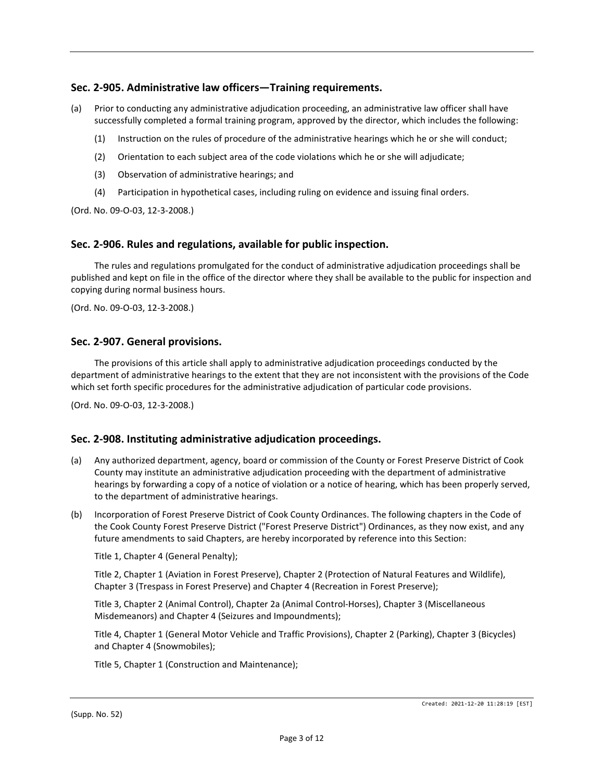# **Sec. 2-905. Administrative law officers—Training requirements.**

- (a) Prior to conducting any administrative adjudication proceeding, an administrative law officer shall have successfully completed a formal training program, approved by the director, which includes the following:
	- (1) Instruction on the rules of procedure of the administrative hearings which he or she will conduct;
	- (2) Orientation to each subject area of the code violations which he or she will adjudicate;
	- (3) Observation of administrative hearings; and
	- (4) Participation in hypothetical cases, including ruling on evidence and issuing final orders.

(Ord. No. 09-O-03, 12-3-2008.)

### **Sec. 2-906. Rules and regulations, available for public inspection.**

The rules and regulations promulgated for the conduct of administrative adjudication proceedings shall be published and kept on file in the office of the director where they shall be available to the public for inspection and copying during normal business hours.

(Ord. No. 09-O-03, 12-3-2008.)

### **Sec. 2-907. General provisions.**

The provisions of this article shall apply to administrative adjudication proceedings conducted by the department of administrative hearings to the extent that they are not inconsistent with the provisions of the Code which set forth specific procedures for the administrative adjudication of particular code provisions.

(Ord. No. 09-O-03, 12-3-2008.)

### **Sec. 2-908. Instituting administrative adjudication proceedings.**

- (a) Any authorized department, agency, board or commission of the County or Forest Preserve District of Cook County may institute an administrative adjudication proceeding with the department of administrative hearings by forwarding a copy of a notice of violation or a notice of hearing, which has been properly served, to the department of administrative hearings.
- (b) Incorporation of Forest Preserve District of Cook County Ordinances. The following chapters in the Code of the Cook County Forest Preserve District ("Forest Preserve District") Ordinances, as they now exist, and any future amendments to said Chapters, are hereby incorporated by reference into this Section:

Title 1, Chapter 4 (General Penalty);

Title 2, Chapter 1 (Aviation in Forest Preserve), Chapter 2 (Protection of Natural Features and Wildlife), Chapter 3 (Trespass in Forest Preserve) and Chapter 4 (Recreation in Forest Preserve);

Title 3, Chapter 2 (Animal Control), Chapter 2a (Animal Control-Horses), Chapter 3 (Miscellaneous Misdemeanors) and Chapter 4 (Seizures and Impoundments);

Title 4, Chapter 1 (General Motor Vehicle and Traffic Provisions), Chapter 2 (Parking), Chapter 3 (Bicycles) and Chapter 4 (Snowmobiles);

Title 5, Chapter 1 (Construction and Maintenance);

(Supp. No. 52)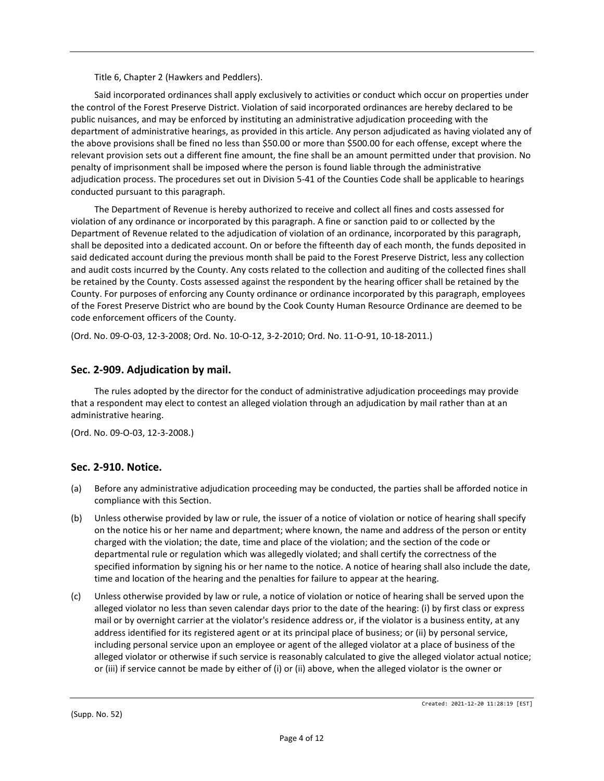Title 6, Chapter 2 (Hawkers and Peddlers).

Said incorporated ordinances shall apply exclusively to activities or conduct which occur on properties under the control of the Forest Preserve District. Violation of said incorporated ordinances are hereby declared to be public nuisances, and may be enforced by instituting an administrative adjudication proceeding with the department of administrative hearings, as provided in this article. Any person adjudicated as having violated any of the above provisions shall be fined no less than \$50.00 or more than \$500.00 for each offense, except where the relevant provision sets out a different fine amount, the fine shall be an amount permitted under that provision. No penalty of imprisonment shall be imposed where the person is found liable through the administrative adjudication process. The procedures set out in Division 5-41 of the Counties Code shall be applicable to hearings conducted pursuant to this paragraph.

The Department of Revenue is hereby authorized to receive and collect all fines and costs assessed for violation of any ordinance or incorporated by this paragraph. A fine or sanction paid to or collected by the Department of Revenue related to the adjudication of violation of an ordinance, incorporated by this paragraph, shall be deposited into a dedicated account. On or before the fifteenth day of each month, the funds deposited in said dedicated account during the previous month shall be paid to the Forest Preserve District, less any collection and audit costs incurred by the County. Any costs related to the collection and auditing of the collected fines shall be retained by the County. Costs assessed against the respondent by the hearing officer shall be retained by the County. For purposes of enforcing any County ordinance or ordinance incorporated by this paragraph, employees of the Forest Preserve District who are bound by the Cook County Human Resource Ordinance are deemed to be code enforcement officers of the County.

(Ord. No. 09-O-03, 12-3-2008; Ord. No. 10-O-12, 3-2-2010; Ord. No. 11-O-91, 10-18-2011.)

### **Sec. 2-909. Adjudication by mail.**

The rules adopted by the director for the conduct of administrative adjudication proceedings may provide that a respondent may elect to contest an alleged violation through an adjudication by mail rather than at an administrative hearing.

(Ord. No. 09-O-03, 12-3-2008.)

### **Sec. 2-910. Notice.**

- (a) Before any administrative adjudication proceeding may be conducted, the parties shall be afforded notice in compliance with this Section.
- (b) Unless otherwise provided by law or rule, the issuer of a notice of violation or notice of hearing shall specify on the notice his or her name and department; where known, the name and address of the person or entity charged with the violation; the date, time and place of the violation; and the section of the code or departmental rule or regulation which was allegedly violated; and shall certify the correctness of the specified information by signing his or her name to the notice. A notice of hearing shall also include the date, time and location of the hearing and the penalties for failure to appear at the hearing.
- (c) Unless otherwise provided by law or rule, a notice of violation or notice of hearing shall be served upon the alleged violator no less than seven calendar days prior to the date of the hearing: (i) by first class or express mail or by overnight carrier at the violator's residence address or, if the violator is a business entity, at any address identified for its registered agent or at its principal place of business; or (ii) by personal service, including personal service upon an employee or agent of the alleged violator at a place of business of the alleged violator or otherwise if such service is reasonably calculated to give the alleged violator actual notice; or (iii) if service cannot be made by either of (i) or (ii) above, when the alleged violator is the owner or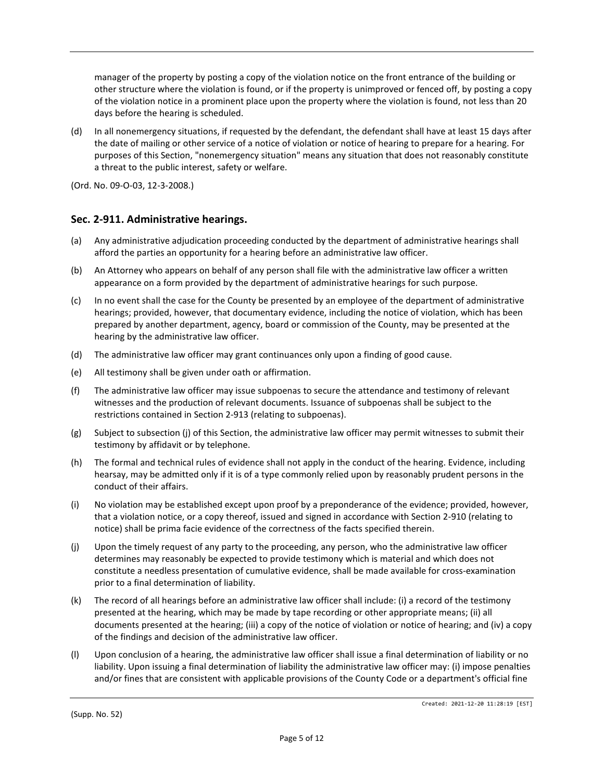manager of the property by posting a copy of the violation notice on the front entrance of the building or other structure where the violation is found, or if the property is unimproved or fenced off, by posting a copy of the violation notice in a prominent place upon the property where the violation is found, not less than 20 days before the hearing is scheduled.

(d) In all nonemergency situations, if requested by the defendant, the defendant shall have at least 15 days after the date of mailing or other service of a notice of violation or notice of hearing to prepare for a hearing. For purposes of this Section, "nonemergency situation" means any situation that does not reasonably constitute a threat to the public interest, safety or welfare.

(Ord. No. 09-O-03, 12-3-2008.)

# **Sec. 2-911. Administrative hearings.**

- (a) Any administrative adjudication proceeding conducted by the department of administrative hearings shall afford the parties an opportunity for a hearing before an administrative law officer.
- (b) An Attorney who appears on behalf of any person shall file with the administrative law officer a written appearance on a form provided by the department of administrative hearings for such purpose.
- (c) In no event shall the case for the County be presented by an employee of the department of administrative hearings; provided, however, that documentary evidence, including the notice of violation, which has been prepared by another department, agency, board or commission of the County, may be presented at the hearing by the administrative law officer.
- (d) The administrative law officer may grant continuances only upon a finding of good cause.
- (e) All testimony shall be given under oath or affirmation.
- (f) The administrative law officer may issue subpoenas to secure the attendance and testimony of relevant witnesses and the production of relevant documents. Issuance of subpoenas shall be subject to the restrictions contained in Section 2-913 (relating to subpoenas).
- (g) Subject to subsection (j) of this Section, the administrative law officer may permit witnesses to submit their testimony by affidavit or by telephone.
- (h) The formal and technical rules of evidence shall not apply in the conduct of the hearing. Evidence, including hearsay, may be admitted only if it is of a type commonly relied upon by reasonably prudent persons in the conduct of their affairs.
- (i) No violation may be established except upon proof by a preponderance of the evidence; provided, however, that a violation notice, or a copy thereof, issued and signed in accordance with Section 2-910 (relating to notice) shall be prima facie evidence of the correctness of the facts specified therein.
- (j) Upon the timely request of any party to the proceeding, any person, who the administrative law officer determines may reasonably be expected to provide testimony which is material and which does not constitute a needless presentation of cumulative evidence, shall be made available for cross-examination prior to a final determination of liability.
- (k) The record of all hearings before an administrative law officer shall include: (i) a record of the testimony presented at the hearing, which may be made by tape recording or other appropriate means; (ii) all documents presented at the hearing; (iii) a copy of the notice of violation or notice of hearing; and (iv) a copy of the findings and decision of the administrative law officer.
- (l) Upon conclusion of a hearing, the administrative law officer shall issue a final determination of liability or no liability. Upon issuing a final determination of liability the administrative law officer may: (i) impose penalties and/or fines that are consistent with applicable provisions of the County Code or a department's official fine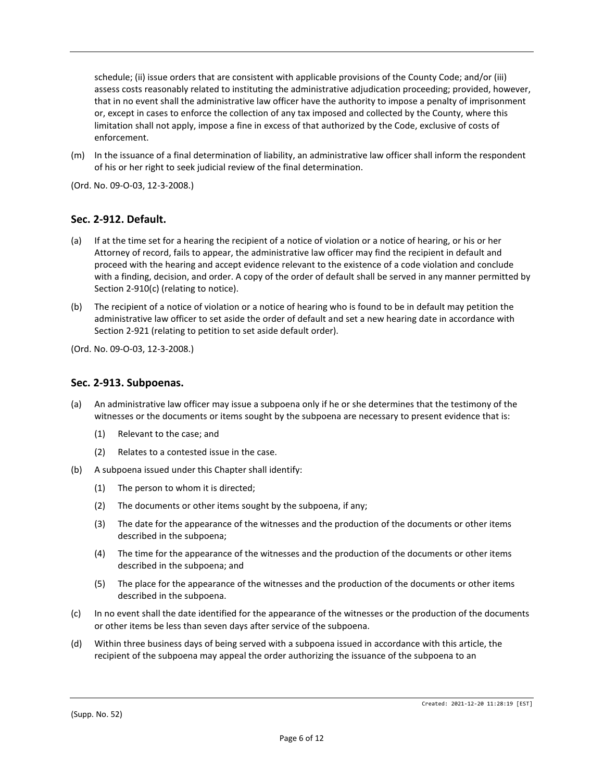schedule; (ii) issue orders that are consistent with applicable provisions of the County Code; and/or (iii) assess costs reasonably related to instituting the administrative adjudication proceeding; provided, however, that in no event shall the administrative law officer have the authority to impose a penalty of imprisonment or, except in cases to enforce the collection of any tax imposed and collected by the County, where this limitation shall not apply, impose a fine in excess of that authorized by the Code, exclusive of costs of enforcement.

(m) In the issuance of a final determination of liability, an administrative law officer shall inform the respondent of his or her right to seek judicial review of the final determination.

(Ord. No. 09-O-03, 12-3-2008.)

### **Sec. 2-912. Default.**

- (a) If at the time set for a hearing the recipient of a notice of violation or a notice of hearing, or his or her Attorney of record, fails to appear, the administrative law officer may find the recipient in default and proceed with the hearing and accept evidence relevant to the existence of a code violation and conclude with a finding, decision, and order. A copy of the order of default shall be served in any manner permitted by Section 2-910(c) (relating to notice).
- (b) The recipient of a notice of violation or a notice of hearing who is found to be in default may petition the administrative law officer to set aside the order of default and set a new hearing date in accordance with Section 2-921 (relating to petition to set aside default order).

(Ord. No. 09-O-03, 12-3-2008.)

#### **Sec. 2-913. Subpoenas.**

- (a) An administrative law officer may issue a subpoena only if he or she determines that the testimony of the witnesses or the documents or items sought by the subpoena are necessary to present evidence that is:
	- (1) Relevant to the case; and
	- (2) Relates to a contested issue in the case.
- (b) A subpoena issued under this Chapter shall identify:
	- (1) The person to whom it is directed;
	- (2) The documents or other items sought by the subpoena, if any;
	- (3) The date for the appearance of the witnesses and the production of the documents or other items described in the subpoena;
	- (4) The time for the appearance of the witnesses and the production of the documents or other items described in the subpoena; and
	- (5) The place for the appearance of the witnesses and the production of the documents or other items described in the subpoena.
- (c) In no event shall the date identified for the appearance of the witnesses or the production of the documents or other items be less than seven days after service of the subpoena.
- (d) Within three business days of being served with a subpoena issued in accordance with this article, the recipient of the subpoena may appeal the order authorizing the issuance of the subpoena to an

(Supp. No. 52)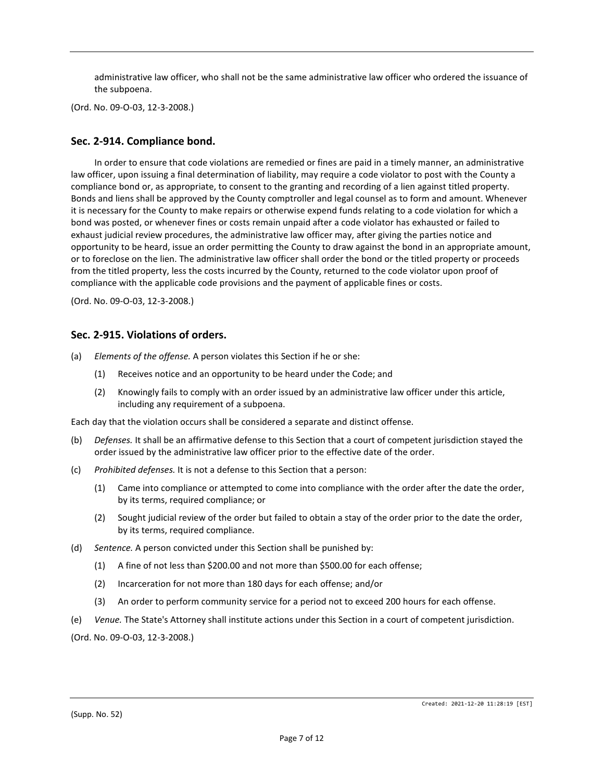administrative law officer, who shall not be the same administrative law officer who ordered the issuance of the subpoena.

(Ord. No. 09-O-03, 12-3-2008.)

### **Sec. 2-914. Compliance bond.**

In order to ensure that code violations are remedied or fines are paid in a timely manner, an administrative law officer, upon issuing a final determination of liability, may require a code violator to post with the County a compliance bond or, as appropriate, to consent to the granting and recording of a lien against titled property. Bonds and liens shall be approved by the County comptroller and legal counsel as to form and amount. Whenever it is necessary for the County to make repairs or otherwise expend funds relating to a code violation for which a bond was posted, or whenever fines or costs remain unpaid after a code violator has exhausted or failed to exhaust judicial review procedures, the administrative law officer may, after giving the parties notice and opportunity to be heard, issue an order permitting the County to draw against the bond in an appropriate amount, or to foreclose on the lien. The administrative law officer shall order the bond or the titled property or proceeds from the titled property, less the costs incurred by the County, returned to the code violator upon proof of compliance with the applicable code provisions and the payment of applicable fines or costs.

(Ord. No. 09-O-03, 12-3-2008.)

#### **Sec. 2-915. Violations of orders.**

- (a) *Elements of the offense.* A person violates this Section if he or she:
	- (1) Receives notice and an opportunity to be heard under the Code; and
	- (2) Knowingly fails to comply with an order issued by an administrative law officer under this article, including any requirement of a subpoena.

Each day that the violation occurs shall be considered a separate and distinct offense.

- (b) *Defenses.* It shall be an affirmative defense to this Section that a court of competent jurisdiction stayed the order issued by the administrative law officer prior to the effective date of the order.
- (c) *Prohibited defenses.* It is not a defense to this Section that a person:
	- (1) Came into compliance or attempted to come into compliance with the order after the date the order, by its terms, required compliance; or
	- (2) Sought judicial review of the order but failed to obtain a stay of the order prior to the date the order, by its terms, required compliance.
- (d) *Sentence.* A person convicted under this Section shall be punished by:
	- (1) A fine of not less than \$200.00 and not more than \$500.00 for each offense;
	- (2) Incarceration for not more than 180 days for each offense; and/or
	- (3) An order to perform community service for a period not to exceed 200 hours for each offense.
- (e) *Venue.* The State's Attorney shall institute actions under this Section in a court of competent jurisdiction.
- (Ord. No. 09-O-03, 12-3-2008.)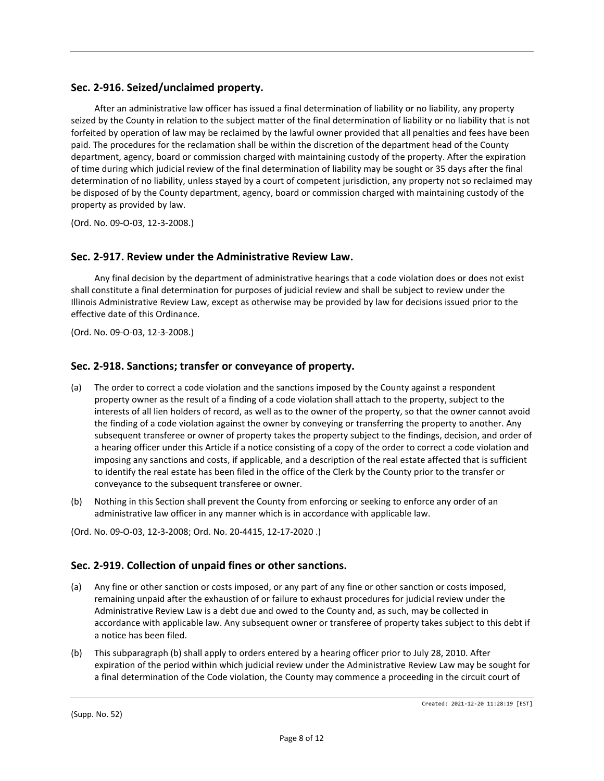# **Sec. 2-916. Seized/unclaimed property.**

After an administrative law officer has issued a final determination of liability or no liability, any property seized by the County in relation to the subject matter of the final determination of liability or no liability that is not forfeited by operation of law may be reclaimed by the lawful owner provided that all penalties and fees have been paid. The procedures for the reclamation shall be within the discretion of the department head of the County department, agency, board or commission charged with maintaining custody of the property. After the expiration of time during which judicial review of the final determination of liability may be sought or 35 days after the final determination of no liability, unless stayed by a court of competent jurisdiction, any property not so reclaimed may be disposed of by the County department, agency, board or commission charged with maintaining custody of the property as provided by law.

(Ord. No. 09-O-03, 12-3-2008.)

### **Sec. 2-917. Review under the Administrative Review Law.**

Any final decision by the department of administrative hearings that a code violation does or does not exist shall constitute a final determination for purposes of judicial review and shall be subject to review under the Illinois Administrative Review Law, except as otherwise may be provided by law for decisions issued prior to the effective date of this Ordinance.

(Ord. No. 09-O-03, 12-3-2008.)

### **Sec. 2-918. Sanctions; transfer or conveyance of property.**

- (a) The order to correct a code violation and the sanctions imposed by the County against a respondent property owner as the result of a finding of a code violation shall attach to the property, subject to the interests of all lien holders of record, as well as to the owner of the property, so that the owner cannot avoid the finding of a code violation against the owner by conveying or transferring the property to another. Any subsequent transferee or owner of property takes the property subject to the findings, decision, and order of a hearing officer under this Article if a notice consisting of a copy of the order to correct a code violation and imposing any sanctions and costs, if applicable, and a description of the real estate affected that is sufficient to identify the real estate has been filed in the office of the Clerk by the County prior to the transfer or conveyance to the subsequent transferee or owner.
- (b) Nothing in this Section shall prevent the County from enforcing or seeking to enforce any order of an administrative law officer in any manner which is in accordance with applicable law.
- (Ord. No. 09-O-03, 12-3-2008; Ord. No. 20-4415, 12-17-2020 .)

### **Sec. 2-919. Collection of unpaid fines or other sanctions.**

- (a) Any fine or other sanction or costs imposed, or any part of any fine or other sanction or costs imposed, remaining unpaid after the exhaustion of or failure to exhaust procedures for judicial review under the Administrative Review Law is a debt due and owed to the County and, as such, may be collected in accordance with applicable law. Any subsequent owner or transferee of property takes subject to this debt if a notice has been filed.
- (b) This subparagraph (b) shall apply to orders entered by a hearing officer prior to July 28, 2010. After expiration of the period within which judicial review under the Administrative Review Law may be sought for a final determination of the Code violation, the County may commence a proceeding in the circuit court of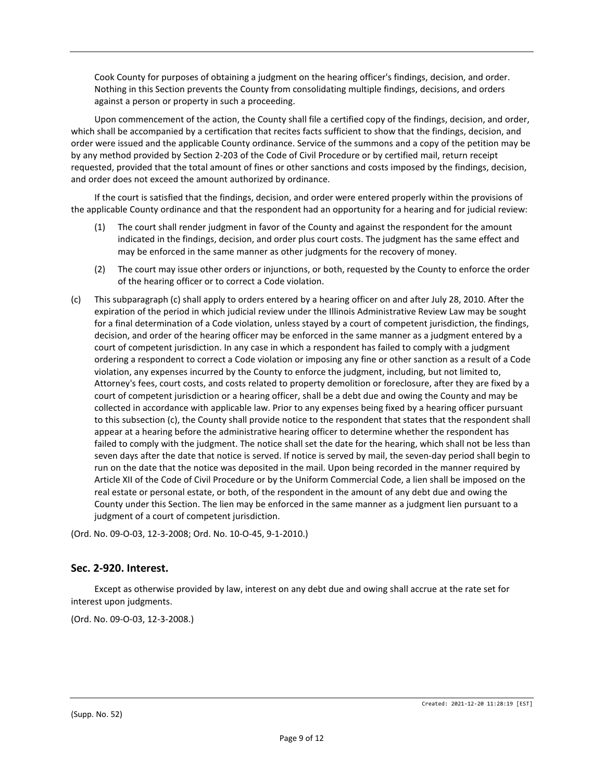Cook County for purposes of obtaining a judgment on the hearing officer's findings, decision, and order. Nothing in this Section prevents the County from consolidating multiple findings, decisions, and orders against a person or property in such a proceeding.

Upon commencement of the action, the County shall file a certified copy of the findings, decision, and order, which shall be accompanied by a certification that recites facts sufficient to show that the findings, decision, and order were issued and the applicable County ordinance. Service of the summons and a copy of the petition may be by any method provided by Section 2-203 of the Code of Civil Procedure or by certified mail, return receipt requested, provided that the total amount of fines or other sanctions and costs imposed by the findings, decision, and order does not exceed the amount authorized by ordinance.

If the court is satisfied that the findings, decision, and order were entered properly within the provisions of the applicable County ordinance and that the respondent had an opportunity for a hearing and for judicial review:

- (1) The court shall render judgment in favor of the County and against the respondent for the amount indicated in the findings, decision, and order plus court costs. The judgment has the same effect and may be enforced in the same manner as other judgments for the recovery of money.
- (2) The court may issue other orders or injunctions, or both, requested by the County to enforce the order of the hearing officer or to correct a Code violation.
- (c) This subparagraph (c) shall apply to orders entered by a hearing officer on and after July 28, 2010. After the expiration of the period in which judicial review under the Illinois Administrative Review Law may be sought for a final determination of a Code violation, unless stayed by a court of competent jurisdiction, the findings, decision, and order of the hearing officer may be enforced in the same manner as a judgment entered by a court of competent jurisdiction. In any case in which a respondent has failed to comply with a judgment ordering a respondent to correct a Code violation or imposing any fine or other sanction as a result of a Code violation, any expenses incurred by the County to enforce the judgment, including, but not limited to, Attorney's fees, court costs, and costs related to property demolition or foreclosure, after they are fixed by a court of competent jurisdiction or a hearing officer, shall be a debt due and owing the County and may be collected in accordance with applicable law. Prior to any expenses being fixed by a hearing officer pursuant to this subsection (c), the County shall provide notice to the respondent that states that the respondent shall appear at a hearing before the administrative hearing officer to determine whether the respondent has failed to comply with the judgment. The notice shall set the date for the hearing, which shall not be less than seven days after the date that notice is served. If notice is served by mail, the seven-day period shall begin to run on the date that the notice was deposited in the mail. Upon being recorded in the manner required by Article XII of the Code of Civil Procedure or by the Uniform Commercial Code, a lien shall be imposed on the real estate or personal estate, or both, of the respondent in the amount of any debt due and owing the County under this Section. The lien may be enforced in the same manner as a judgment lien pursuant to a judgment of a court of competent jurisdiction.

(Ord. No. 09-O-03, 12-3-2008; Ord. No. 10-O-45, 9-1-2010.)

### **Sec. 2-920. Interest.**

Except as otherwise provided by law, interest on any debt due and owing shall accrue at the rate set for interest upon judgments.

(Ord. No. 09-O-03, 12-3-2008.)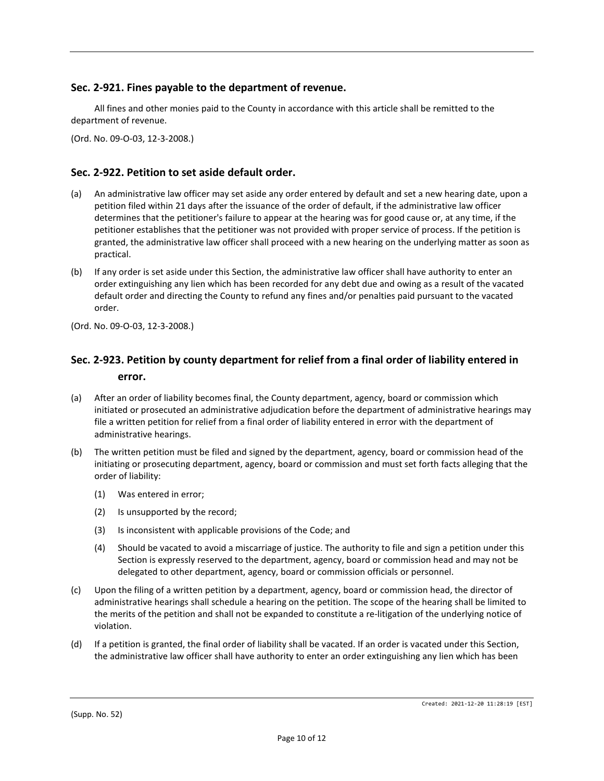## **Sec. 2-921. Fines payable to the department of revenue.**

All fines and other monies paid to the County in accordance with this article shall be remitted to the department of revenue.

(Ord. No. 09-O-03, 12-3-2008.)

# **Sec. 2-922. Petition to set aside default order.**

- (a) An administrative law officer may set aside any order entered by default and set a new hearing date, upon a petition filed within 21 days after the issuance of the order of default, if the administrative law officer determines that the petitioner's failure to appear at the hearing was for good cause or, at any time, if the petitioner establishes that the petitioner was not provided with proper service of process. If the petition is granted, the administrative law officer shall proceed with a new hearing on the underlying matter as soon as practical.
- (b) If any order is set aside under this Section, the administrative law officer shall have authority to enter an order extinguishing any lien which has been recorded for any debt due and owing as a result of the vacated default order and directing the County to refund any fines and/or penalties paid pursuant to the vacated order.
- (Ord. No. 09-O-03, 12-3-2008.)

# **Sec. 2-923. Petition by county department for relief from a final order of liability entered in error.**

- (a) After an order of liability becomes final, the County department, agency, board or commission which initiated or prosecuted an administrative adjudication before the department of administrative hearings may file a written petition for relief from a final order of liability entered in error with the department of administrative hearings.
- (b) The written petition must be filed and signed by the department, agency, board or commission head of the initiating or prosecuting department, agency, board or commission and must set forth facts alleging that the order of liability:
	- (1) Was entered in error;
	- (2) Is unsupported by the record;
	- (3) Is inconsistent with applicable provisions of the Code; and
	- (4) Should be vacated to avoid a miscarriage of justice. The authority to file and sign a petition under this Section is expressly reserved to the department, agency, board or commission head and may not be delegated to other department, agency, board or commission officials or personnel.
- (c) Upon the filing of a written petition by a department, agency, board or commission head, the director of administrative hearings shall schedule a hearing on the petition. The scope of the hearing shall be limited to the merits of the petition and shall not be expanded to constitute a re-litigation of the underlying notice of violation.
- (d) If a petition is granted, the final order of liability shall be vacated. If an order is vacated under this Section, the administrative law officer shall have authority to enter an order extinguishing any lien which has been

(Supp. No. 52)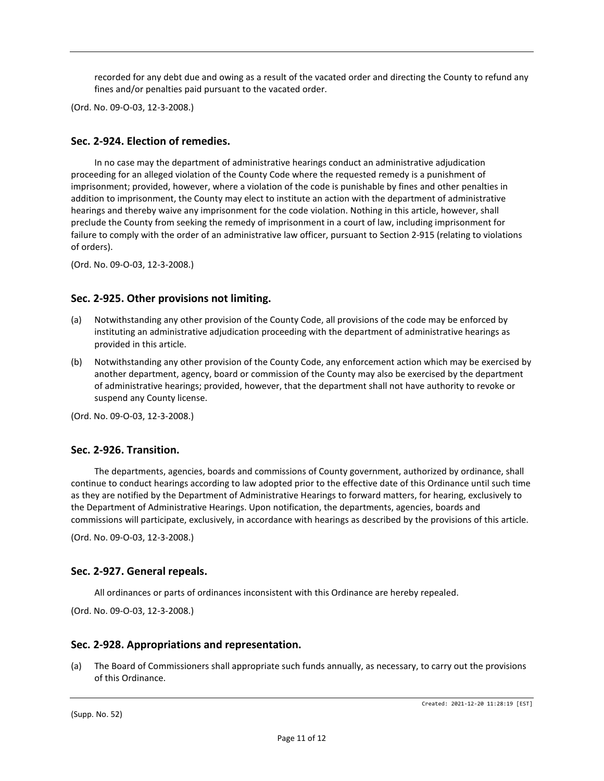recorded for any debt due and owing as a result of the vacated order and directing the County to refund any fines and/or penalties paid pursuant to the vacated order.

(Ord. No. 09-O-03, 12-3-2008.)

### **Sec. 2-924. Election of remedies.**

In no case may the department of administrative hearings conduct an administrative adjudication proceeding for an alleged violation of the County Code where the requested remedy is a punishment of imprisonment; provided, however, where a violation of the code is punishable by fines and other penalties in addition to imprisonment, the County may elect to institute an action with the department of administrative hearings and thereby waive any imprisonment for the code violation. Nothing in this article, however, shall preclude the County from seeking the remedy of imprisonment in a court of law, including imprisonment for failure to comply with the order of an administrative law officer, pursuant to Section 2-915 (relating to violations of orders).

(Ord. No. 09-O-03, 12-3-2008.)

### **Sec. 2-925. Other provisions not limiting.**

- (a) Notwithstanding any other provision of the County Code, all provisions of the code may be enforced by instituting an administrative adjudication proceeding with the department of administrative hearings as provided in this article.
- (b) Notwithstanding any other provision of the County Code, any enforcement action which may be exercised by another department, agency, board or commission of the County may also be exercised by the department of administrative hearings; provided, however, that the department shall not have authority to revoke or suspend any County license.

(Ord. No. 09-O-03, 12-3-2008.)

### **Sec. 2-926. Transition.**

The departments, agencies, boards and commissions of County government, authorized by ordinance, shall continue to conduct hearings according to law adopted prior to the effective date of this Ordinance until such time as they are notified by the Department of Administrative Hearings to forward matters, for hearing, exclusively to the Department of Administrative Hearings. Upon notification, the departments, agencies, boards and commissions will participate, exclusively, in accordance with hearings as described by the provisions of this article.

(Ord. No. 09-O-03, 12-3-2008.)

#### **Sec. 2-927. General repeals.**

All ordinances or parts of ordinances inconsistent with this Ordinance are hereby repealed.

(Ord. No. 09-O-03, 12-3-2008.)

#### **Sec. 2-928. Appropriations and representation.**

(a) The Board of Commissioners shall appropriate such funds annually, as necessary, to carry out the provisions of this Ordinance.